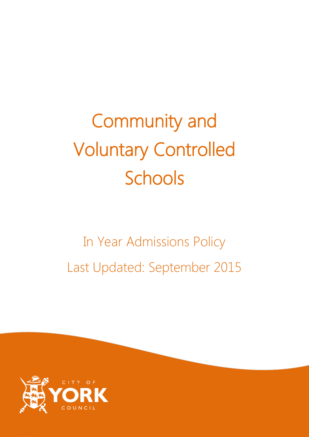# Community and Voluntary Controlled Schools

## In Year Admissions Policy Last Updated: September 2015

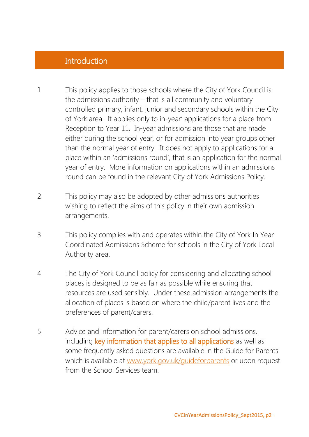#### **Introduction**

- 1 This policy applies to those schools where the City of York Council is the admissions authority – that is all community and voluntary controlled primary, infant, junior and secondary schools within the City of York area. It applies only to in-year' applications for a place from Reception to Year 11. In-year admissions are those that are made either during the school year, or for admission into year groups other than the normal year of entry. It does not apply to applications for a place within an 'admissions round', that is an application for the normal year of entry. More information on applications within an admissions round can be found in the relevant City of York Admissions Policy.
- 2 This policy may also be adopted by other admissions authorities wishing to reflect the aims of this policy in their own admission arrangements.
- 3 This policy complies with and operates within the City of York In Year Coordinated Admissions Scheme for schools in the City of York Local Authority area.
- 4 The City of York Council policy for considering and allocating school places is designed to be as fair as possible while ensuring that resources are used sensibly. Under these admission arrangements the allocation of places is based on where the child/parent lives and the preferences of parent/carers.
- 5 Advice and information for parent/carers on school admissions, including key information that applies to all applications as well as some frequently asked questions are available in the Guide for Parents which is available at [www.york.gov.uk/guideforparents](http://www.york.gov.uk/guideforparents) or upon request from the School Services team.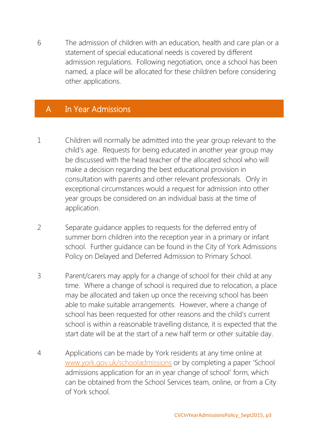6 The admission of children with an education, health and care plan or a statement of special educational needs is covered by different admission regulations. Following negotiation, once a school has been named, a place will be allocated for these children before considering other applications.

#### A In Year Admissions

- 1 Children will normally be admitted into the year group relevant to the child's age. Requests for being educated in another year group may be discussed with the head teacher of the allocated school who will make a decision regarding the best educational provision in consultation with parents and other relevant professionals. Only in exceptional circumstances would a request for admission into other year groups be considered on an individual basis at the time of application.
- 2 Separate guidance applies to requests for the deferred entry of summer born children into the reception year in a primary or infant school. Further guidance can be found in the City of York Admissions Policy on Delayed and Deferred Admission to Primary School.
- 3 Parent/carers may apply for a change of school for their child at any time. Where a change of school is required due to relocation, a place may be allocated and taken up once the receiving school has been able to make suitable arrangements. However, where a change of school has been requested for other reasons and the child's current school is within a reasonable travelling distance, it is expected that the start date will be at the start of a new half term or other suitable day.
- 4 Applications can be made by York residents at any time online at [www.york.gov.uk/schooladmissions](http://www.york.gov.uk/schooladmissions) or by completing a paper 'School admissions application for an in year change of school' form, which can be obtained from the School Services team, online, or from a City of York school.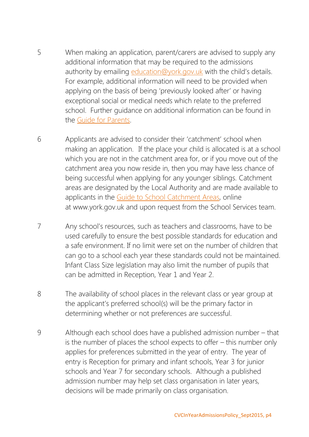- 5 When making an application, parent/carers are advised to supply any additional information that may be required to the admissions authority by emailing [education@york.gov.uk](mailto:education@york.gov.uk) with the child's details. For example, additional information will need to be provided when applying on the basis of being 'previously looked after' or having exceptional social or medical needs which relate to the preferred school. Further guidance on additional information can be found in the [Guide for Parents.](http://www.york.gov.uk/guideforparents)
- 6 Applicants are advised to consider their 'catchment' school when making an application. If the place your child is allocated is at a school which you are not in the catchment area for, or if you move out of the catchment area you now reside in, then you may have less chance of being successful when applying for any younger siblings. Catchment areas are designated by the Local Authority and are made available to applicants in the Guide to School [Catchment](https://www.york.gov.uk/info/20171/school_admissions/202/guide_to_school_catchment_areas) Areas, online at www.york.gov.uk and upon request from the School Services team.
- 7 Any school's resources, such as teachers and classrooms, have to be used carefully to ensure the best possible standards for education and a safe environment. If no limit were set on the number of children that can go to a school each year these standards could not be maintained. Infant Class Size legislation may also limit the number of pupils that can be admitted in Reception, Year 1 and Year 2.
- 8 The availability of school places in the relevant class or year group at the applicant's preferred school(s) will be the primary factor in determining whether or not preferences are successful.
- 9 Although each school does have a published admission number that is the number of places the school expects to offer – this number only applies for preferences submitted in the year of entry. The year of entry is Reception for primary and infant schools, Year 3 for junior schools and Year 7 for secondary schools. Although a published admission number may help set class organisation in later years, decisions will be made primarily on class organisation.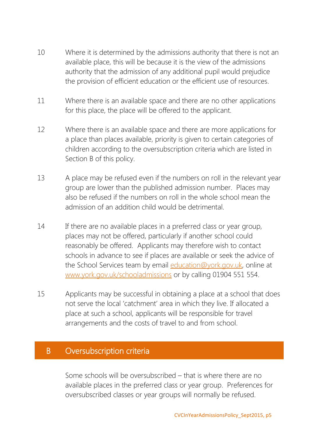- 10 Where it is determined by the admissions authority that there is not an available place, this will be because it is the view of the admissions authority that the admission of any additional pupil would prejudice the provision of efficient education or the efficient use of resources.
- 11 Where there is an available space and there are no other applications for this place, the place will be offered to the applicant.
- 12 Where there is an available space and there are more applications for a place than places available, priority is given to certain categories of children according to the oversubscription criteria which are listed in Section B of this policy.
- 13 A place may be refused even if the numbers on roll in the relevant year group are lower than the published admission number. Places may also be refused if the numbers on roll in the whole school mean the admission of an addition child would be detrimental.
- 14 If there are no available places in a preferred class or year group, places may not be offered, particularly if another school could reasonably be offered. Applicants may therefore wish to contact schools in advance to see if places are available or seek the advice of the School Services team by email [education@york.gov.uk,](mailto:education@york.gov.uk) online at [www.york.gov.uk/schooladmissions](http://www.york.gov.uk/schooladmissions) or by calling 01904 551 554.
- 15 Applicants may be successful in obtaining a place at a school that does not serve the local 'catchment' area in which they live. If allocated a place at such a school, applicants will be responsible for travel arrangements and the costs of travel to and from school.

#### B Oversubscription criteria

Some schools will be oversubscribed – that is where there are no available places in the preferred class or year group. Preferences for oversubscribed classes or year groups will normally be refused.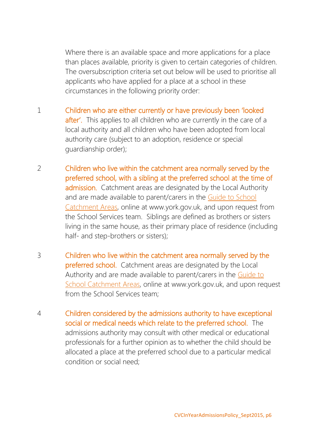Where there is an available space and more applications for a place than places available, priority is given to certain categories of children. The oversubscription criteria set out below will be used to prioritise all applicants who have applied for a place at a school in these circumstances in the following priority order:

- 1 Children who are either currently or have previously been 'looked after'. This applies to all children who are currently in the care of a local authority and all children who have been adopted from local authority care (subject to an adoption, residence or special guardianship order);
- 2 Children who live within the catchment area normally served by the preferred school, with a sibling at the preferred school at the time of admission. Catchment areas are designated by the Local Authority and are made available to parent/carers in the Guide to [School](https://www.york.gov.uk/info/20171/school_admissions/202/guide_to_school_catchment_areas) [Catchment](https://www.york.gov.uk/info/20171/school_admissions/202/guide_to_school_catchment_areas) Areas, online at www.york.gov.uk, and upon request from the School Services team. Siblings are defined as brothers or sisters living in the same house, as their primary place of residence (including half- and step-brothers or sisters);
- 3 Children who live within the catchment area normally served by the preferred school. Catchment areas are designated by the Local Authority and are made available to parent/carers in the [Guide](https://www.york.gov.uk/info/20171/school_admissions/202/guide_to_school_catchment_areas) to School [Catchment](https://www.york.gov.uk/info/20171/school_admissions/202/guide_to_school_catchment_areas) Areas, online at www.york.gov.uk, and upon request from the School Services team;
- 4 Children considered by the admissions authority to have exceptional social or medical needs which relate to the preferred school. The admissions authority may consult with other medical or educational professionals for a further opinion as to whether the child should be allocated a place at the preferred school due to a particular medical condition or social need;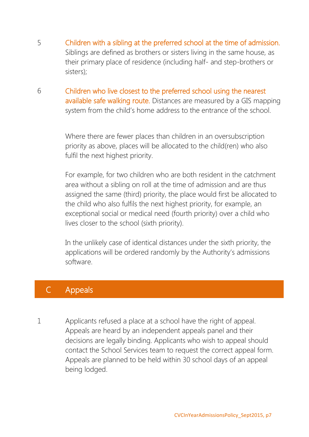- 5 Children with a sibling at the preferred school at the time of admission. Siblings are defined as brothers or sisters living in the same house, as their primary place of residence (including half- and step-brothers or sisters);
- 6 Children who live closest to the preferred school using the nearest available safe walking route. Distances are measured by a GIS mapping system from the child's home address to the entrance of the school.

Where there are fewer places than children in an oversubscription priority as above, places will be allocated to the child(ren) who also fulfil the next highest priority.

For example, for two children who are both resident in the catchment area without a sibling on roll at the time of admission and are thus assigned the same (third) priority, the place would first be allocated to the child who also fulfils the next highest priority, for example, an exceptional social or medical need (fourth priority) over a child who lives closer to the school (sixth priority).

In the unlikely case of identical distances under the sixth priority, the applications will be ordered randomly by the Authority's admissions software.

#### C Appeals

1 Applicants refused a place at a school have the right of appeal. Appeals are heard by an independent appeals panel and their decisions are legally binding. Applicants who wish to appeal should contact the School Services team to request the correct appeal form. Appeals are planned to be held within 30 school days of an appeal being lodged.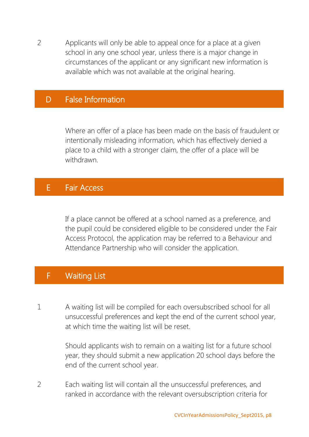2 Applicants will only be able to appeal once for a place at a given school in any one school year, unless there is a major change in circumstances of the applicant or any significant new information is available which was not available at the original hearing.

#### D False Information

Where an offer of a place has been made on the basis of fraudulent or intentionally misleading information, which has effectively denied a place to a child with a stronger claim, the offer of a place will be withdrawn.

#### E Fair Access

If a place cannot be offered at a school named as a preference, and the pupil could be considered eligible to be considered under the Fair Access Protocol, the application may be referred to a Behaviour and Attendance Partnership who will consider the application.

#### F Waiting List

1 A waiting list will be compiled for each oversubscribed school for all unsuccessful preferences and kept the end of the current school year, at which time the waiting list will be reset.

> Should applicants wish to remain on a waiting list for a future school year, they should submit a new application 20 school days before the end of the current school year.

2 Each waiting list will contain all the unsuccessful preferences, and ranked in accordance with the relevant oversubscription criteria for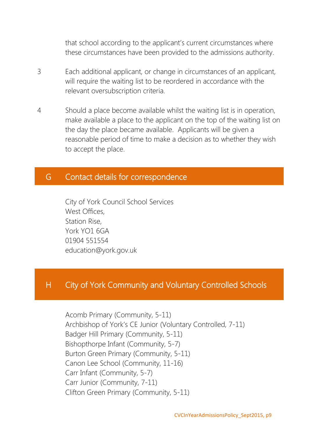that school according to the applicant's current circumstances where these circumstances have been provided to the admissions authority.

- 3 Each additional applicant, or change in circumstances of an applicant, will require the waiting list to be reordered in accordance with the relevant oversubscription criteria.
- 4 Should a place become available whilst the waiting list is in operation, make available a place to the applicant on the top of the waiting list on the day the place became available. Applicants will be given a reasonable period of time to make a decision as to whether they wish to accept the place.

#### G Contact details for correspondence

City of York Council School Services West Offices, Station Rise, York YO1 6GA 01904 551554 education@york.gov.uk

### H City of York Community and Voluntary Controlled Schools

Acomb Primary (Community, 5-11) Archbishop of York's CE Junior (Voluntary Controlled, 7-11) Badger Hill Primary (Community, 5-11) Bishopthorpe Infant (Community, 5-7) Burton Green Primary (Community, 5-11) Canon Lee School (Community, 11-16) Carr Infant (Community, 5-7) Carr Junior (Community, 7-11) Clifton Green Primary (Community, 5-11)